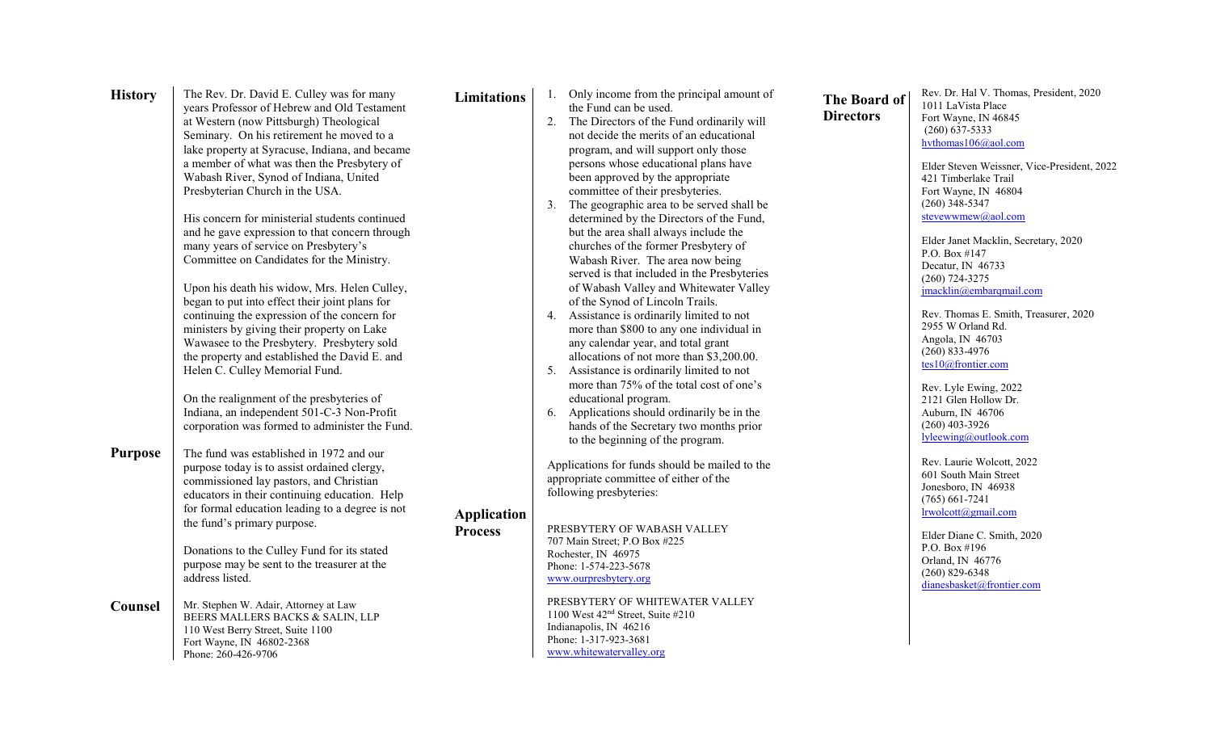| <b>History</b> | The Rev. Dr. David E. Culley was for many                                            | <b>Limitations</b> | 1. Only income from the principal amount of                                                |
|----------------|--------------------------------------------------------------------------------------|--------------------|--------------------------------------------------------------------------------------------|
|                | years Professor of Hebrew and Old Testament                                          |                    | the Fund can be used.                                                                      |
|                | at Western (now Pittsburgh) Theological<br>Seminary. On his retirement he moved to a |                    | The Directors of the Fund ordinarily will<br>2.<br>not decide the merits of an educational |
|                |                                                                                      |                    | program, and will support only those                                                       |
|                | lake property at Syracuse, Indiana, and became                                       |                    |                                                                                            |
|                | a member of what was then the Presbytery of                                          |                    | persons whose educational plans have                                                       |
|                | Wabash River, Synod of Indiana, United                                               |                    | been approved by the appropriate                                                           |
|                | Presbyterian Church in the USA.                                                      |                    | committee of their presbyteries.                                                           |
|                |                                                                                      |                    | 3.<br>The geographic area to be served shall be                                            |
|                | His concern for ministerial students continued                                       |                    | determined by the Directors of the Fund,                                                   |
|                | and he gave expression to that concern through                                       |                    | but the area shall always include the                                                      |
|                | many years of service on Presbytery's                                                |                    | churches of the former Presbytery of                                                       |
|                | Committee on Candidates for the Ministry.                                            |                    | Wabash River. The area now being                                                           |
|                |                                                                                      |                    | served is that included in the Presbyteries                                                |
|                | Upon his death his widow, Mrs. Helen Culley,                                         |                    | of Wabash Valley and Whitewater Valley                                                     |
|                | began to put into effect their joint plans for                                       |                    | of the Synod of Lincoln Trails.                                                            |
|                | continuing the expression of the concern for                                         |                    | Assistance is ordinarily limited to not<br>4.                                              |
|                | ministers by giving their property on Lake                                           |                    | more than \$800 to any one individual in                                                   |
|                | Wawasee to the Presbytery. Presbytery sold                                           |                    | any calendar year, and total grant                                                         |
|                | the property and established the David E. and                                        |                    | allocations of not more than \$3,200.00.                                                   |
|                | Helen C. Culley Memorial Fund.                                                       |                    | Assistance is ordinarily limited to not<br>5.                                              |
|                |                                                                                      |                    | more than 75% of the total cost of one's                                                   |
|                | On the realignment of the presbyteries of                                            |                    | educational program.                                                                       |
|                | Indiana, an independent 501-C-3 Non-Profit                                           |                    | Applications should ordinarily be in the<br>6.                                             |
|                | corporation was formed to administer the Fund.                                       |                    | hands of the Secretary two months prior                                                    |
|                |                                                                                      |                    | to the beginning of the program.                                                           |
| <b>Purpose</b> | The fund was established in 1972 and our                                             |                    |                                                                                            |
|                | purpose today is to assist ordained clergy,                                          |                    | Applications for funds should be mailed to the                                             |
|                | commissioned lay pastors, and Christian                                              |                    | appropriate committee of either of the                                                     |
|                | educators in their continuing education. Help                                        |                    | following presbyteries:                                                                    |
|                | for formal education leading to a degree is not                                      | <b>Application</b> |                                                                                            |
|                | the fund's primary purpose.                                                          | <b>Process</b>     | PRESBYTERY OF WABASH VALLEY                                                                |
|                |                                                                                      |                    | 707 Main Street; P.O Box #225                                                              |
|                | Donations to the Culley Fund for its stated                                          |                    | Rochester, IN 46975                                                                        |
|                | purpose may be sent to the treasurer at the                                          |                    | Phone: 1-574-223-5678                                                                      |
|                | address listed.                                                                      |                    | www.ourpresbytery.org                                                                      |
| Counsel        | Mr. Stephen W. Adair, Attorney at Law                                                |                    | PRESBYTERY OF WHITEWATER VALLEY                                                            |
|                | BEERS MALLERS BACKS & SALIN, LLP                                                     |                    | 1100 West 42 <sup>nd</sup> Street, Suite #210                                              |
|                | 110 West Berry Street, Suite 1100                                                    |                    | Indianapolis, IN 46216                                                                     |
|                | Fort Wayne, IN 46802-2368                                                            |                    | Phone: 1-317-923-3681                                                                      |
|                | Phone: 260-426-9706                                                                  |                    | www.whitewatervalley.org                                                                   |

**The Board of Directors**

Rev. Dr. Hal V. Thomas, President, 2020 1011 LaVista Place Fort Wayne, IN 46845 (260) 637-5333 [hvthomas106@aol.com](mailto:hvthomas106@aol.com)

> Elder Steven Weissner, Vice-President, 2022 421 Timberlake Trail Fort Wayne, IN 46804 (260) 348-5347 [stevewwmew@aol.com](mailto:stevewwmew@aol.com)

Elder Janet Macklin, Secretary, 2020 P.O. Box #147 Decatur, IN 46733 (260) 724-3275 [jmacklin@embarqmail.com](mailto:jmacklin@embarqmail.com)

Rev. Thomas E. Smith, Treasurer, 2020 2955 W Orland Rd. Angola, IN 46703 (260) 833-4976 [tes10@frontier.com](mailto:tes10@frontier.com)

Rev. Lyle Ewing, 2022 2121 Glen Hollow Dr. Auburn, IN 46706 (260) 403-3926 [lyleewing@outlook.com](mailto:lyleewing@outlook.com)

Rev. Laurie Wolcott, 2022 601 South Main Street Jonesboro, IN 46938 (765) 661-7241 [lrwolcott@gmail.com](mailto:lrwolcott@gmail.com)

Elder Diane C. Smith, 2020 P.O. Box #196 Orland, IN 46776 (260) 829-6348 [dianesbasket@frontier.com](mailto:dianesbasket@frontier.com)